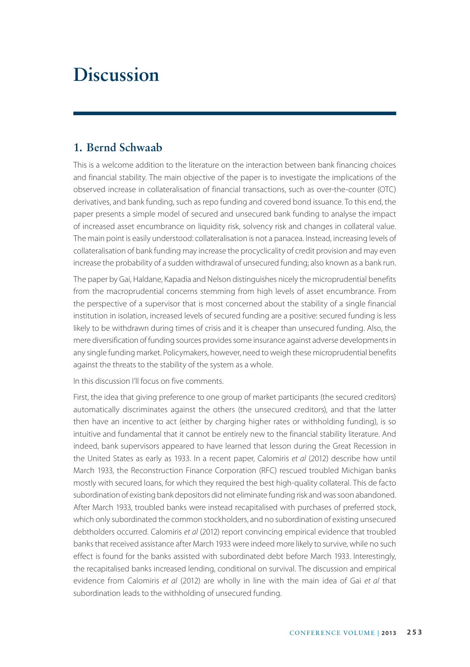# **Discussion**

## **1. Bernd Schwaab**

This is a welcome addition to the literature on the interaction between bank financing choices and financial stability. The main objective of the paper is to investigate the implications of the observed increase in collateralisation of financial transactions, such as over-the-counter (OTC) derivatives, and bank funding, such as repo funding and covered bond issuance. To this end, the paper presents a simple model of secured and unsecured bank funding to analyse the impact of increased asset encumbrance on liquidity risk, solvency risk and changes in collateral value. The main point is easily understood: collateralisation is not a panacea. Instead, increasing levels of collateralisation of bank funding may increase the procyclicality of credit provision and may even increase the probability of a sudden withdrawal of unsecured funding; also known as a bank run.

The paper by Gai, Haldane, Kapadia and Nelson distinguishes nicely the microprudential benefits from the macroprudential concerns stemming from high levels of asset encumbrance. From the perspective of a supervisor that is most concerned about the stability of a single financial institution in isolation, increased levels of secured funding are a positive: secured funding is less likely to be withdrawn during times of crisis and it is cheaper than unsecured funding. Also, the mere diversification of funding sources provides some insurance against adverse developments in any single funding market. Policymakers, however, need to weigh these microprudential benefits against the threats to the stability of the system as a whole.

In this discussion I'll focus on five comments.

First, the idea that giving preference to one group of market participants (the secured creditors) automatically discriminates against the others (the unsecured creditors), and that the latter then have an incentive to act (either by charging higher rates or withholding funding), is so intuitive and fundamental that it cannot be entirely new to the financial stability literature. And indeed, bank supervisors appeared to have learned that lesson during the Great Recession in the United States as early as 1933. In a recent paper, Calomiris *et al* (2012) describe how until March 1933, the Reconstruction Finance Corporation (RFC) rescued troubled Michigan banks mostly with secured loans, for which they required the best high-quality collateral. This de facto subordination of existing bank depositors did not eliminate funding risk and was soon abandoned. After March 1933, troubled banks were instead recapitalised with purchases of preferred stock, which only subordinated the common stockholders, and no subordination of existing unsecured debtholders occurred. Calomiris *et al* (2012) report convincing empirical evidence that troubled banks that received assistance after March 1933 were indeed more likely to survive, while no such effect is found for the banks assisted with subordinated debt before March 1933. Interestingly, the recapitalised banks increased lending, conditional on survival. The discussion and empirical evidence from Calomiris *et al* (2012) are wholly in line with the main idea of Gai *et al* that subordination leads to the withholding of unsecured funding.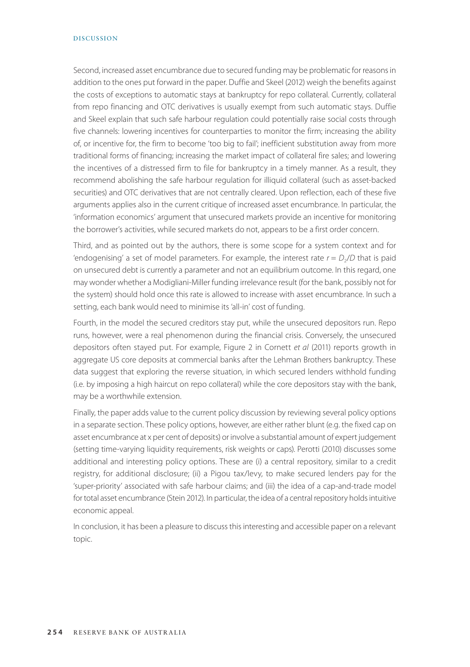#### DISCUSSION

Second, increased asset encumbrance due to secured funding may be problematic for reasons in addition to the ones put forward in the paper. Duffie and Skeel (2012) weigh the benefits against the costs of exceptions to automatic stays at bankruptcy for repo collateral. Currently, collateral from repo financing and OTC derivatives is usually exempt from such automatic stays. Duffie and Skeel explain that such safe harbour regulation could potentially raise social costs through five channels: lowering incentives for counterparties to monitor the firm; increasing the ability of, or incentive for, the firm to become 'too big to fail'; inefficient substitution away from more traditional forms of financing; increasing the market impact of collateral fire sales; and lowering the incentives of a distressed firm to file for bankruptcy in a timely manner. As a result, they recommend abolishing the safe harbour regulation for illiquid collateral (such as asset-backed securities) and OTC derivatives that are not centrally cleared. Upon reflection, each of these five arguments applies also in the current critique of increased asset encumbrance. In particular, the 'information economics' argument that unsecured markets provide an incentive for monitoring the borrower's activities, while secured markets do not, appears to be a first order concern.

Third, and as pointed out by the authors, there is some scope for a system context and for 'endogenising' a set of model parameters. For example, the interest rate  $r = D<sub>2</sub>/D$  that is paid on unsecured debt is currently a parameter and not an equilibrium outcome. In this regard, one may wonder whether a Modigliani-Miller funding irrelevance result (for the bank, possibly not for the system) should hold once this rate is allowed to increase with asset encumbrance. In such a setting, each bank would need to minimise its 'all-in' cost of funding.

Fourth, in the model the secured creditors stay put, while the unsecured depositors run. Repo runs, however, were a real phenomenon during the financial crisis. Conversely, the unsecured depositors often stayed put. For example, Figure 2 in Cornett *et al* (2011) reports growth in aggregate US core deposits at commercial banks after the Lehman Brothers bankruptcy. These data suggest that exploring the reverse situation, in which secured lenders withhold funding (i.e. by imposing a high haircut on repo collateral) while the core depositors stay with the bank, may be a worthwhile extension.

Finally, the paper adds value to the current policy discussion by reviewing several policy options in a separate section. These policy options, however, are either rather blunt (e.g. the fixed cap on asset encumbrance at x per cent of deposits) or involve a substantial amount of expert judgement (setting time-varying liquidity requirements, risk weights or caps). Perotti (2010) discusses some additional and interesting policy options. These are (i) a central repository, similar to a credit registry, for additional disclosure; (ii) a Pigou tax/levy, to make secured lenders pay for the 'super-priority' associated with safe harbour claims; and (iii) the idea of a cap-and-trade model for total asset encumbrance (Stein 2012). In particular, the idea of a central repository holds intuitive economic appeal.

In conclusion, it has been a pleasure to discuss this interesting and accessible paper on a relevant topic.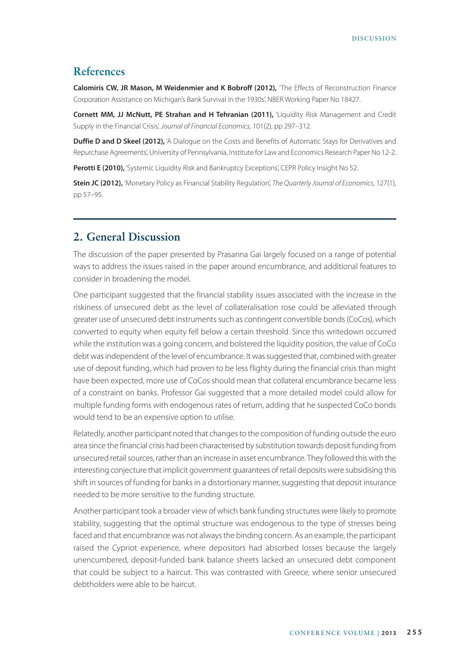## **References**

**Calomiris CW, JR Mason, M Weidenmier and K Bobroff (2012),** 'The Effects of Reconstruction Finance Corporation Assistance on Michigan's Bank Survival in the 1930s', NBER Working Paper No 18427.

**Cornett MM, JJ McNutt, PE Strahan and H Tehranian (2011),** 'Liquidity Risk Management and Credit Supply in the Financial Crisis', *Journal of Financial Economics*, 101(2), pp 297–312.

**Duffie D and D Skeel (2012),** 'A Dialogue on the Costs and Benefits of Automatic Stays for Derivatives and Repurchase Agreements', University of Pennsylvania, Institute for Law and Economics Research Paper No 12-2.

Perotti E (2010), 'Systemic Liquidity Risk and Bankruptcy Exceptions', CEPR Policy Insight No 52.

**Stein JC (2012),** 'Monetary Policy as Financial Stability Regulation', *The Quarterly Journal of Economics*, 127(1), pp 57–95.

### **2. General Discussion**

The discussion of the paper presented by Prasanna Gai largely focused on a range of potential ways to address the issues raised in the paper around encumbrance, and additional features to consider in broadening the model.

One participant suggested that the financial stability issues associated with the increase in the riskiness of unsecured debt as the level of collateralisation rose could be alleviated through greater use of unsecured debt instruments such as contingent convertible bonds (CoCos), which converted to equity when equity fell below a certain threshold. Since this writedown occurred while the institution was a going concern, and bolstered the liquidity position, the value of CoCo debt was independent of the level of encumbrance. It was suggested that, combined with greater use of deposit funding, which had proven to be less flighty during the financial crisis than might have been expected, more use of CoCos should mean that collateral encumbrance became less of a constraint on banks. Professor Gai suggested that a more detailed model could allow for multiple funding forms with endogenous rates of return, adding that he suspected CoCo bonds would tend to be an expensive option to utilise.

Relatedly, another participant noted that changes to the composition of funding outside the euro area since the financial crisis had been characterised by substitution towards deposit funding from unsecured retail sources, rather than an increase in asset encumbrance. They followed this with the interesting conjecture that implicit government guarantees of retail deposits were subsidising this shift in sources of funding for banks in a distortionary manner, suggesting that deposit insurance needed to be more sensitive to the funding structure.

Another participant took a broader view of which bank funding structures were likely to promote stability, suggesting that the optimal structure was endogenous to the type of stresses being faced and that encumbrance was not always the binding concern. As an example, the participant raised the Cypriot experience, where depositors had absorbed losses because the largely unencumbered, deposit-funded bank balance sheets lacked an unsecured debt component that could be subject to a haircut. This was contrasted with Greece, where senior unsecured debtholders were able to be haircut.